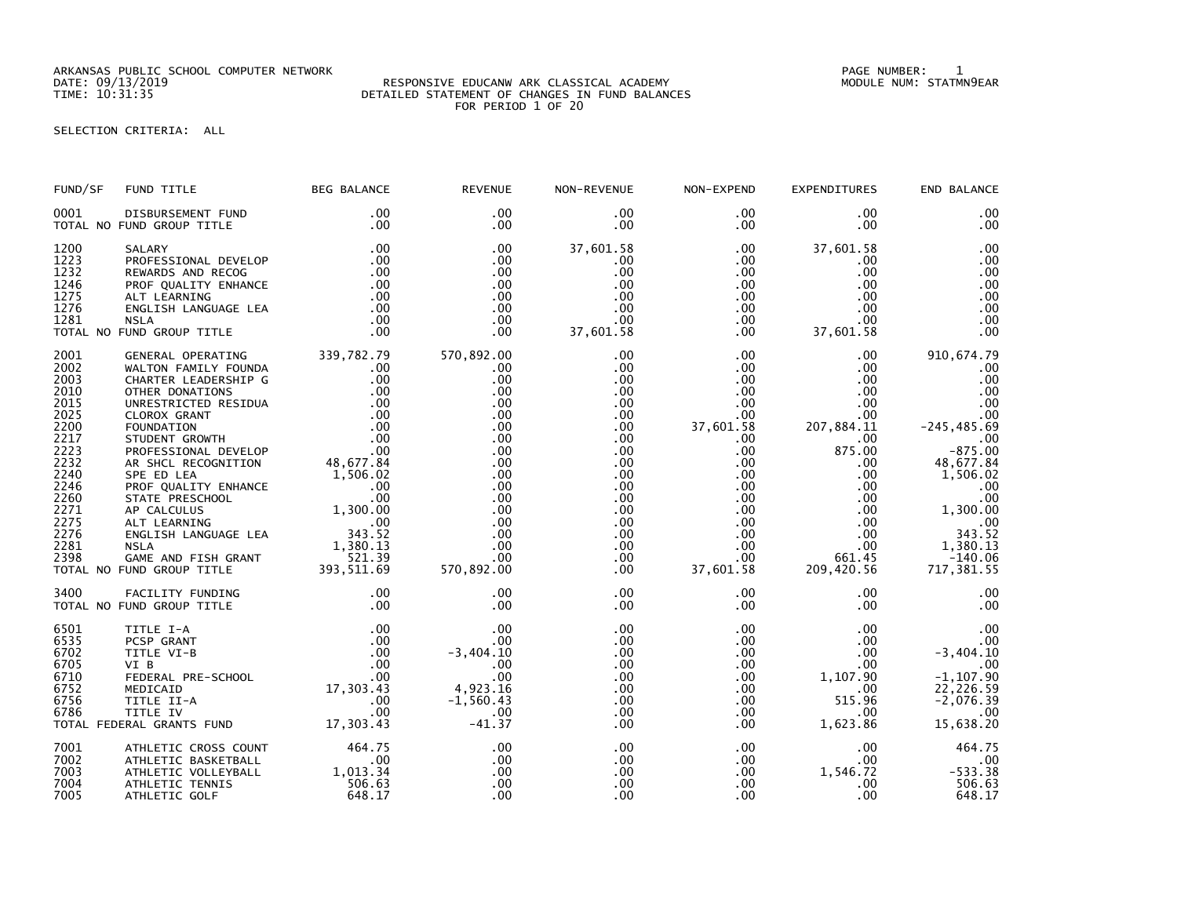ARKANSAS PUBLIC SCHOOL COMPUTER NETWORK PAGE NUMBER: 1

## DATE: 09/13/2019 RESPONSIVE EDUCANW ARK CLASSICAL ACADEMY MODULE NUM: STATMN9EAR TIME: 10:31:35 DETAILED STATEMENT OF CHANGES IN FUND BALANCES FOR PERIOD 1 OF 20

## SELECTION CRITERIA: ALL

| FUND/SF                                                                                                                                      | FUND TITLE                                                                                                                                                                                                                                                                                                                                                                                                                                                                                          | <b>BEG BALANCE</b>                                                                                                                                                                                                                                                                                                                                                                                                 | <b>REVENUE</b>                                                                                                                                       | NON-REVENUE                                                                                                                                 | NON-EXPEND                                                                                                                                                                                                                                 | <b>EXPENDITURES</b>                                                                                                                                                                                                                    | END BALANCE                                                                                                                                                                                     |
|----------------------------------------------------------------------------------------------------------------------------------------------|-----------------------------------------------------------------------------------------------------------------------------------------------------------------------------------------------------------------------------------------------------------------------------------------------------------------------------------------------------------------------------------------------------------------------------------------------------------------------------------------------------|--------------------------------------------------------------------------------------------------------------------------------------------------------------------------------------------------------------------------------------------------------------------------------------------------------------------------------------------------------------------------------------------------------------------|------------------------------------------------------------------------------------------------------------------------------------------------------|---------------------------------------------------------------------------------------------------------------------------------------------|--------------------------------------------------------------------------------------------------------------------------------------------------------------------------------------------------------------------------------------------|----------------------------------------------------------------------------------------------------------------------------------------------------------------------------------------------------------------------------------------|-------------------------------------------------------------------------------------------------------------------------------------------------------------------------------------------------|
| 0001                                                                                                                                         | DISBURSEMENT FUND<br>TOTAL NO FUND GROUP TITLE                                                                                                                                                                                                                                                                                                                                                                                                                                                      | .00<br>.00                                                                                                                                                                                                                                                                                                                                                                                                         | .00<br>$.00 \,$                                                                                                                                      | .00<br>$.00 \,$                                                                                                                             | $.00 \,$<br>$.00 \,$                                                                                                                                                                                                                       | $.00 \,$<br>$.00 \,$                                                                                                                                                                                                                   | .00<br>.00                                                                                                                                                                                      |
| 1200<br>1223<br>1232<br>1246<br>1275<br>1276<br>1281                                                                                         | SALARY<br>PROFESSIONAL DEVELOP<br>REWARDS AND RECOG<br>PROF QUALITY ENHANCE<br>ALT LEARNING<br>ENGLISH LANGUAGE LEA<br><b>NSLA</b><br>TOTAL NO FUND GROUP TITLE                                                                                                                                                                                                                                                                                                                                     | .00<br>.00<br>.00<br>.00<br>.00<br>.00<br>.00<br>.00                                                                                                                                                                                                                                                                                                                                                               | .00<br>$.00 \,$<br>.00<br>.00<br>.00<br>.00<br>.00<br>.00                                                                                            | 37,601.58<br>.00<br>.00<br>.00<br>.00<br>$.00 \,$<br>.00<br>37,601.58                                                                       | $.00 \,$<br>$.00 \,$<br>$.00 \,$<br>$.00 \,$<br>$.00 \ \,$<br>$.00\,$<br>$.00 \,$<br>$.00 \,$                                                                                                                                              | 37,601.58<br>$.00 \,$<br>$.00 \,$<br>$.00 \,$<br>$.00 \,$<br>$.00 \,$<br>.00<br>37,601.58                                                                                                                                              | .00<br>.00<br>.00<br>.00<br>.00<br>.00<br>.00<br>.00                                                                                                                                            |
| 2001<br>2002<br>2003<br>2010<br>2015<br>2025<br>2200<br>2217<br>2223<br>2232<br>2240<br>2246<br>2260<br>2271<br>2275<br>2276<br>2281<br>2398 | GENERAL OPERATING 339,782.79<br>WALTON FAMILY FOUNDA<br>CHARTER LEADERSHIP G<br>OTHER DONATIONS<br>UNRESTRICTED RESIDUA<br>UNRESTRICTED RESIDUA<br>CLOROX GRANT 00<br>FOUNDATION 00<br>STUDENT GROWTH 00<br>PROFESSIONAL DEVELOP 00<br>AR SHCL RECOGNITION 48,677.84<br>SPE ED LEA<br>PROF QUALITY ENHANCE<br>STATE PRESCHOOL<br>00<br>AP CALCULUS 1,300.00<br>ALT LEARNING 00<br>ENGLISH LANGUAGE LEA 343.52<br>NSLA 1,380.13<br>ASLA 1,380.13<br>GAME AND FISH GRANT<br>TOTAL NO FUND GROUP TITLE | .00<br>.00<br>.00<br>1,506.02<br>$\overline{\phantom{0}}$ .00<br>.00<br>521.39<br>393, 511.69                                                                                                                                                                                                                                                                                                                      | 570,892.00<br>.00<br>.00<br>$.00 \,$<br>.00<br>.00<br>.00<br>.00<br>.00<br>.00<br>.00<br>.00<br>.00<br>.00<br>.00<br>.00<br>.00<br>.00<br>570,892.00 | .00<br>.00<br>.00<br>.00<br>.00<br>.00<br>.00<br>.00<br>.00<br>$.00 \,$<br>$.00 \,$<br>.00<br>.00<br>.00<br>.00<br>.00<br>.00<br>.00<br>.00 | $.00 \,$<br>$.00 \,$<br>$.00\,$<br>.00 <sub>1</sub><br>$.00 \,$<br>$.00 \,$<br>37,601.58<br>$.00 \,$<br>$.00 \,$<br>$.00\,$<br>$.00\,$<br>.00<br>.00 <sub>1</sub><br>$.00 \,$<br>$.00 \,$<br>$.00 \,$<br>$.00 \,$<br>$.00 \,$<br>37,601.58 | $.00 \cdot$<br>$.00 \,$<br>$.00 \,$<br>$.00 \,$<br>$.00 \,$<br>$.00 \,$<br>207,884.11<br>$.00 \,$<br>875.00<br>$.00 \,$<br>$.00 \,$<br>$.00 \ \,$<br>$.00 \,$<br>$.00\,$<br>$.00 \,$<br>$.00 \ \,$<br>$.00 \,$<br>661.45<br>209,420.56 | 910,674.79<br>.00<br>.00<br>.00<br>.00<br>.00<br>$-245, 485.69$<br>.00<br>$-875.00$<br>48,677.84<br>1,506.02<br>.00<br>.00<br>1,300.00<br>$60$<br>343.52<br>1,380.13<br>$-140.06$<br>717,381.55 |
| 3400                                                                                                                                         | FACILITY FUNDING<br>TOTAL NO FUND GROUP TITLE                                                                                                                                                                                                                                                                                                                                                                                                                                                       | .00<br>.00                                                                                                                                                                                                                                                                                                                                                                                                         | .00<br>.00                                                                                                                                           | .00<br>.00                                                                                                                                  | $.00 \,$<br>$.00 \,$                                                                                                                                                                                                                       | $.00 \,$<br>$.00 \,$                                                                                                                                                                                                                   | .00<br>.00                                                                                                                                                                                      |
| 6501<br>6535<br>6702<br>6705<br>6710<br>6752<br>6756<br>6786                                                                                 | TITLE I-A<br>PCSP GRANT<br>TITLE VI-B<br>VI B<br>FEDERAL PRE-SCHOOL<br>MEDICAID<br>TITLE II-A<br>TITLE IV<br>TOTAL FEDERAL GRANTS FUND                                                                                                                                                                                                                                                                                                                                                              | $0.00 \qquad .00 \qquad .00 \qquad .00 \qquad .00 \qquad .00 \qquad .00 \qquad .00 \qquad .00 \qquad .00 \qquad .00 \qquad .00 \qquad .00 \qquad .00 \qquad .00 \qquad .00 \qquad .00 \qquad .00 \qquad .00 \qquad .00 \qquad .00 \qquad .00 \qquad .00 \qquad .00 \qquad .00 \qquad .00 \qquad .00 \qquad .00 \qquad .00 \qquad .00 \qquad .00 \qquad .00 \qquad .00 \qquad .00 \qquad .00 \qquad .00 \qquad .00$ | .00<br>.00<br>$-3,404.10$<br>.00<br>.00<br>4,923.16<br>$-1,560.43$<br>.00<br>$-41.37$                                                                | .00<br>.00<br>.00<br>.00<br>.00<br>.00<br>.00<br>.00<br>.00                                                                                 | $.00 \,$<br>$.00 \,$<br>$.00 \,$<br>$.00 \,$<br>.00<br>$.00 \,$<br>$.00 \,$<br>$.00 \,$<br>$.00 \,$                                                                                                                                        | $.00 \,$<br>$.00 \,$<br>$.00 \,$<br>$.00 \,$<br>1,107.90<br>$.00 \,$<br>515.96<br>$.00 \,$<br>1,623.86                                                                                                                                 | .00<br>.00<br>$-3,404.10$<br>.00<br>$-1, 107.90$<br>22,226.59<br>$-2,076.39$<br>.00<br>15,638.20                                                                                                |
| 7001<br>7002<br>7003<br>7004<br>7005                                                                                                         | ATHLETIC CROSS COUNT<br>ATHLETIC BASKETBALL<br>ATHLETIC VOLLEYBALL<br>ATHLETIC TENNIS<br>ATHLETIC GOLF                                                                                                                                                                                                                                                                                                                                                                                              | 464.75<br>00.<br>1,013.34<br>506.63<br>648.17                                                                                                                                                                                                                                                                                                                                                                      | .00<br>.00<br>.00<br>.00<br>.00                                                                                                                      | .00<br>.00<br>.00<br>.00<br>.00                                                                                                             | $.00\,$<br>$.00\,$<br>.00 <sub>1</sub><br>.00<br>$.00 \,$                                                                                                                                                                                  | $.00 \ \,$<br>$.00\,$<br>1,546.72<br>.00<br>.00 <sub>1</sub>                                                                                                                                                                           | 464.75<br>.00<br>$-533.38$<br>506.63<br>648.17                                                                                                                                                  |